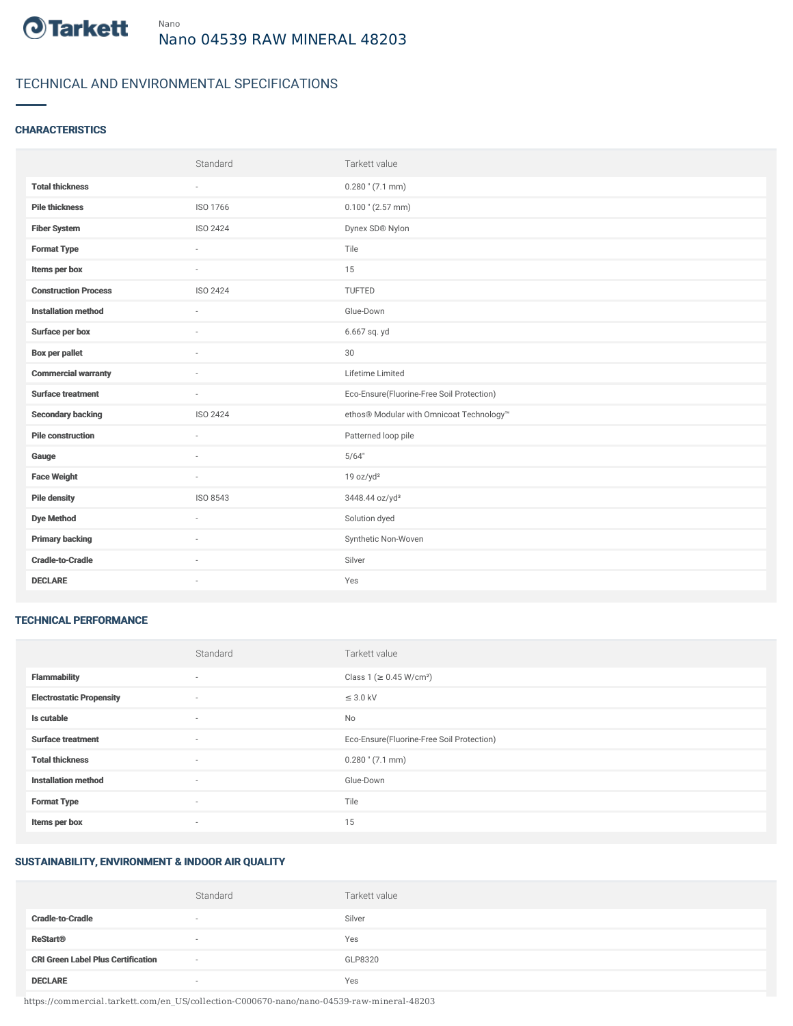

# TECHNICAL AND ENVIRONMENTAL SPECIFICATIONS

## **CHARACTERISTICS**

|                             | Standard                 | Tarkett value                             |
|-----------------------------|--------------------------|-------------------------------------------|
| <b>Total thickness</b>      | $\sim$                   | $0.280$ " (7.1 mm)                        |
| <b>Pile thickness</b>       | ISO 1766                 | $0.100$ " (2.57 mm)                       |
| <b>Fiber System</b>         | ISO 2424                 | Dynex SD® Nylon                           |
| <b>Format Type</b>          | ÷.                       | Tile                                      |
| Items per box               | $\sim$                   | 15                                        |
| <b>Construction Process</b> | ISO 2424                 | TUFTED                                    |
| <b>Installation method</b>  | ×.                       | Glue-Down                                 |
| Surface per box             | $\sim$                   | 6.667 sq. yd                              |
| <b>Box per pallet</b>       | ä,                       | 30                                        |
| <b>Commercial warranty</b>  |                          | Lifetime Limited                          |
| <b>Surface treatment</b>    | $\sim$                   | Eco-Ensure(Fluorine-Free Soil Protection) |
| <b>Secondary backing</b>    | ISO 2424                 | ethos® Modular with Omnicoat Technology™  |
| <b>Pile construction</b>    | ×.                       | Patterned loop pile                       |
| Gauge                       |                          | 5/64"                                     |
| <b>Face Weight</b>          | $\overline{\phantom{a}}$ | 19 oz/yd <sup>2</sup>                     |
| <b>Pile density</b>         | ISO 8543                 | 3448.44 oz/yd <sup>3</sup>                |
| <b>Dye Method</b>           | $\sim$                   | Solution dyed                             |
| <b>Primary backing</b>      |                          | Synthetic Non-Woven                       |
| <b>Cradle-to-Cradle</b>     | $\sim$                   | Silver                                    |
| <b>DECLARE</b>              | ٠                        | Yes                                       |

#### TECHNICAL PERFORMANCE

|                                 | Standard                 | Tarkett value                             |
|---------------------------------|--------------------------|-------------------------------------------|
| <b>Flammability</b>             | $\overline{\phantom{a}}$ | Class 1 (≥ 0.45 W/cm <sup>2</sup> )       |
| <b>Electrostatic Propensity</b> | $\overline{\phantom{a}}$ | $\leq$ 3.0 kV                             |
| Is cutable                      | $\sim$                   | No                                        |
| <b>Surface treatment</b>        | $\sim$                   | Eco-Ensure(Fluorine-Free Soil Protection) |
| <b>Total thickness</b>          | $\sim$                   | $0.280$ " (7.1 mm)                        |
| <b>Installation method</b>      | $\sim$                   | Glue-Down                                 |
| <b>Format Type</b>              | $\sim$                   | Tile                                      |
| Items per box                   | $\sim$                   | 15                                        |

## SUSTAINABILITY, ENVIRONMENT & INDOOR AIR QUALITY

|                                           | Standard | Tarkett value |
|-------------------------------------------|----------|---------------|
| <b>Cradle-to-Cradle</b>                   |          | Silver        |
| <b>ReStart<sup>®</sup></b>                | $\sim$   | Yes           |
| <b>CRI Green Label Plus Certification</b> | $\sim$   | GLP8320       |
| <b>DECLARE</b>                            |          | Yes           |

https://commercial.tarkett.com/en\_US/collection-C000670-nano/nano-04539-raw-mineral-48203